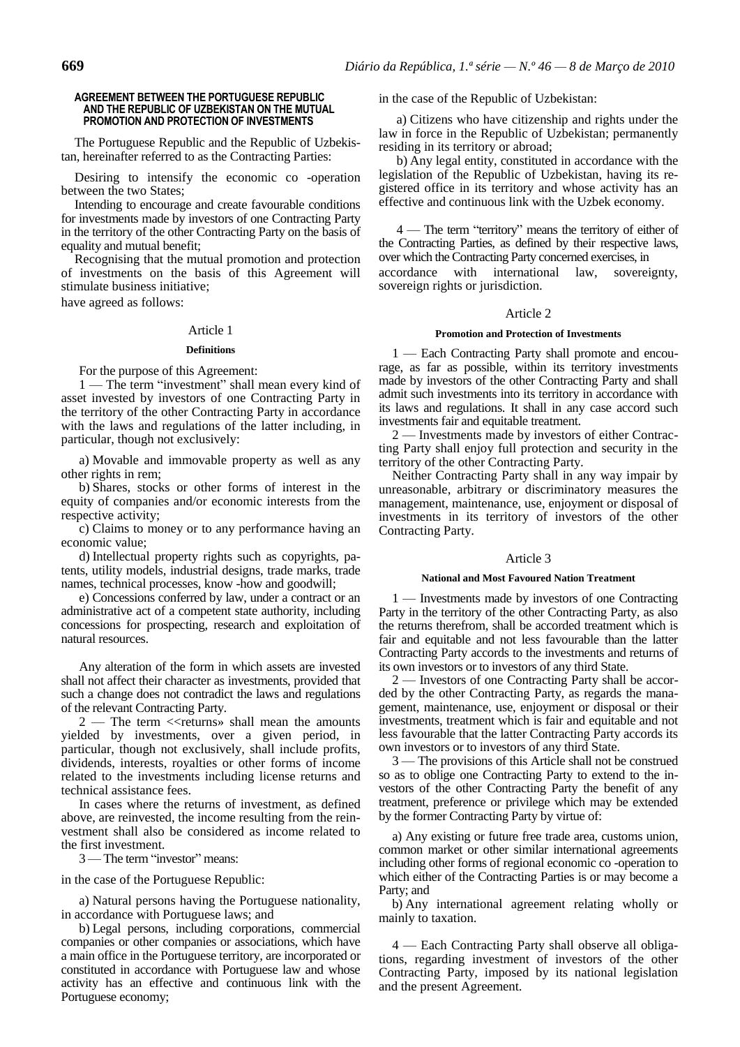### **AGREEMENT BETWEEN THE PORTUGUESE REPUBLIC AND THE REPUBLIC OF UZBEKISTAN ON THE MUTUAL PROMOTION AND PROTECTION OF INVESTMENTS**

The Portuguese Republic and the Republic of Uzbekistan, hereinafter referred to as the Contracting Parties:

Desiring to intensify the economic co -operation between the two States;

Intending to encourage and create favourable conditions for investments made by investors of one Contracting Party in the territory of the other Contracting Party on the basis of equality and mutual benefit;

Recognising that the mutual promotion and protection of investments on the basis of this Agreement will stimulate business initiative;

have agreed as follows:

# Article 1

### **Definitions**

For the purpose of this Agreement:

1 — The term "investment" shall mean every kind of asset invested by investors of one Contracting Party in the territory of the other Contracting Party in accordance with the laws and regulations of the latter including, in particular, though not exclusively:

a) Movable and immovable property as well as any other rights in rem;

b) Shares, stocks or other forms of interest in the equity of companies and/or economic interests from the respective activity;

c) Claims to money or to any performance having an economic value;

d) Intellectual property rights such as copyrights, patents, utility models, industrial designs, trade marks, trade names, technical processes, know -how and goodwill;

e) Concessions conferred by law, under a contract or an administrative act of a competent state authority, including concessions for prospecting, research and exploitation of natural resources.

Any alteration of the form in which assets are invested shall not affect their character as investments, provided that such a change does not contradict the laws and regulations of the relevant Contracting Party.

 $2$  — The term  $\ll$  returns» shall mean the amounts yielded by investments, over a given period, in particular, though not exclusively, shall include profits, dividends, interests, royalties or other forms of income related to the investments including license returns and technical assistance fees.

In cases where the returns of investment, as defined above, are reinvested, the income resulting from the reinvestment shall also be considered as income related to the first investment.

3 — The term "investor" means:

in the case of the Portuguese Republic:

a) Natural persons having the Portuguese nationality, in accordance with Portuguese laws; and

b) Legal persons, including corporations, commercial companies or other companies or associations, which have a main office in the Portuguese territory, are incorporated or constituted in accordance with Portuguese law and whose activity has an effective and continuous link with the Portuguese economy;

in the case of the Republic of Uzbekistan:

a) Citizens who have citizenship and rights under the law in force in the Republic of Uzbekistan; permanently residing in its territory or abroad;

b) Any legal entity, constituted in accordance with the legislation of the Republic of Uzbekistan, having its registered office in its territory and whose activity has an effective and continuous link with the Uzbek economy.

4 — The term "territory" means the territory of either of the Contracting Parties, as defined by their respective laws, over which the Contracting Party concerned exercises, in

accordance with international law, sovereignty, sovereign rights or jurisdiction.

### Article 2

### **Promotion and Protection of Investments**

1 — Each Contracting Party shall promote and encourage, as far as possible, within its territory investments made by investors of the other Contracting Party and shall admit such investments into its territory in accordance with its laws and regulations. It shall in any case accord such investments fair and equitable treatment.

2 — Investments made by investors of either Contracting Party shall enjoy full protection and security in the territory of the other Contracting Party.

Neither Contracting Party shall in any way impair by unreasonable, arbitrary or discriminatory measures the management, maintenance, use, enjoyment or disposal of investments in its territory of investors of the other Contracting Party.

# Article 3

### **National and Most Favoured Nation Treatment**

— Investments made by investors of one Contracting Party in the territory of the other Contracting Party, as also the returns therefrom, shall be accorded treatment which is fair and equitable and not less favourable than the latter Contracting Party accords to the investments and returns of its own investors or to investors of any third State.

2 — Investors of one Contracting Party shall be accorded by the other Contracting Party, as regards the management, maintenance, use, enjoyment or disposal or their investments, treatment which is fair and equitable and not less favourable that the latter Contracting Party accords its own investors or to investors of any third State.

3 — The provisions of this Article shall not be construed so as to oblige one Contracting Party to extend to the investors of the other Contracting Party the benefit of any treatment, preference or privilege which may be extended by the former Contracting Party by virtue of:

a) Any existing or future free trade area, customs union, common market or other similar international agreements including other forms of regional economic co -operation to which either of the Contracting Parties is or may become a Party; and

b) Any international agreement relating wholly or mainly to taxation.

4 — Each Contracting Party shall observe all obligations, regarding investment of investors of the other Contracting Party, imposed by its national legislation and the present Agreement.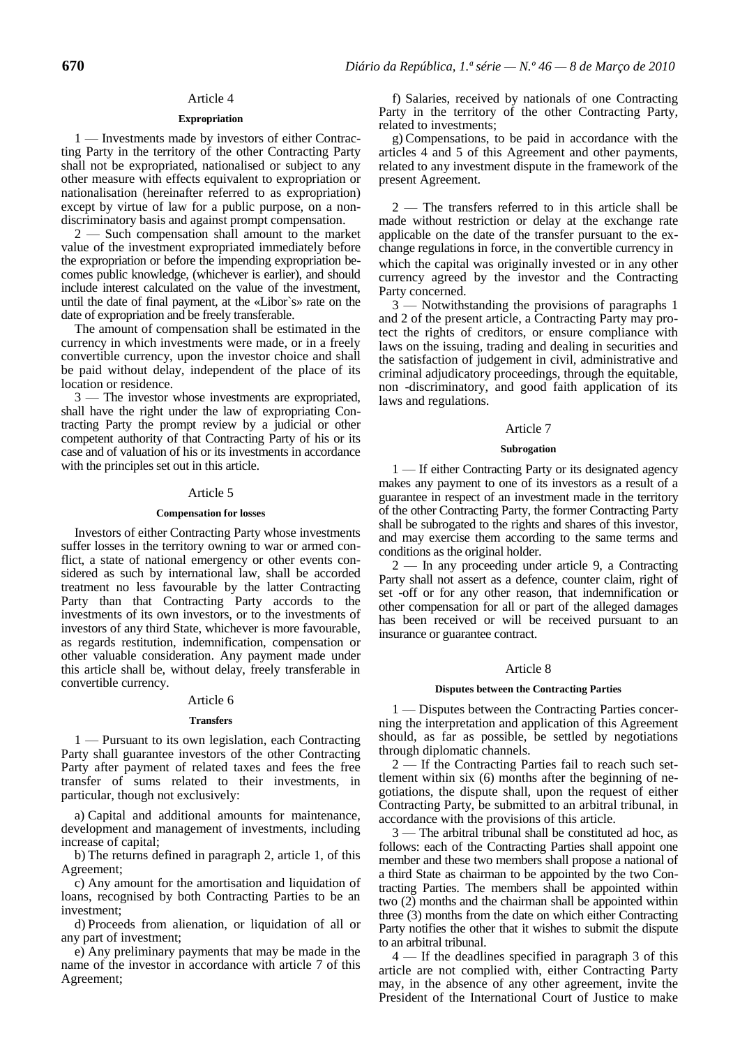### Article 4

# **Expropriation**

1 — Investments made by investors of either Contracting Party in the territory of the other Contracting Party shall not be expropriated, nationalised or subject to any other measure with effects equivalent to expropriation or nationalisation (hereinafter referred to as expropriation) except by virtue of law for a public purpose, on a nondiscriminatory basis and against prompt compensation.

2 — Such compensation shall amount to the market value of the investment expropriated immediately before the expropriation or before the impending expropriation becomes public knowledge, (whichever is earlier), and should include interest calculated on the value of the investment, until the date of final payment, at the «Libor`s» rate on the date of expropriation and be freely transferable.

The amount of compensation shall be estimated in the currency in which investments were made, or in a freely convertible currency, upon the investor choice and shall be paid without delay, independent of the place of its location or residence.

3 — The investor whose investments are expropriated, shall have the right under the law of expropriating Contracting Party the prompt review by a judicial or other competent authority of that Contracting Party of his or its case and of valuation of his or its investments in accordance with the principles set out in this article.

### Article 5

### **Compensation for losses**

Investors of either Contracting Party whose investments suffer losses in the territory owning to war or armed conflict, a state of national emergency or other events considered as such by international law, shall be accorded treatment no less favourable by the latter Contracting Party than that Contracting Party accords to the investments of its own investors, or to the investments of investors of any third State, whichever is more favourable, as regards restitution, indemnification, compensation or other valuable consideration. Any payment made under this article shall be, without delay, freely transferable in convertible currency.

# Article 6

### **Transfers**

1 — Pursuant to its own legislation, each Contracting Party shall guarantee investors of the other Contracting Party after payment of related taxes and fees the free transfer of sums related to their investments, in particular, though not exclusively:

a) Capital and additional amounts for maintenance, development and management of investments, including increase of capital;

b) The returns defined in paragraph 2, article 1, of this Agreement;

c) Any amount for the amortisation and liquidation of loans, recognised by both Contracting Parties to be an investment;

d) Proceeds from alienation, or liquidation of all or any part of investment;

e) Any preliminary payments that may be made in the name of the investor in accordance with article 7 of this Agreement;

f) Salaries, received by nationals of one Contracting Party in the territory of the other Contracting Party, related to investments;

g) Compensations, to be paid in accordance with the articles 4 and 5 of this Agreement and other payments, related to any investment dispute in the framework of the present Agreement.

2 — The transfers referred to in this article shall be made without restriction or delay at the exchange rate applicable on the date of the transfer pursuant to the exchange regulations in force, in the convertible currency in which the capital was originally invested or in any other currency agreed by the investor and the Contracting Party concerned.

3 — Notwithstanding the provisions of paragraphs 1 and 2 of the present article, a Contracting Party may protect the rights of creditors, or ensure compliance with laws on the issuing, trading and dealing in securities and the satisfaction of judgement in civil, administrative and criminal adjudicatory proceedings, through the equitable, non -discriminatory, and good faith application of its laws and regulations.

# Article 7

### **Subrogation**

1 — If either Contracting Party or its designated agency makes any payment to one of its investors as a result of a guarantee in respect of an investment made in the territory of the other Contracting Party, the former Contracting Party shall be subrogated to the rights and shares of this investor, and may exercise them according to the same terms and conditions as the original holder.

2 — In any proceeding under article 9, a Contracting Party shall not assert as a defence, counter claim, right of set -off or for any other reason, that indemnification or other compensation for all or part of the alleged damages has been received or will be received pursuant to an insurance or guarantee contract.

### Article 8

### **Disputes between the Contracting Parties**

1 — Disputes between the Contracting Parties concerning the interpretation and application of this Agreement should, as far as possible, be settled by negotiations through diplomatic channels.

2 — If the Contracting Parties fail to reach such settlement within six (6) months after the beginning of negotiations, the dispute shall, upon the request of either Contracting Party, be submitted to an arbitral tribunal, in accordance with the provisions of this article.

3 — The arbitral tribunal shall be constituted ad hoc, as follows: each of the Contracting Parties shall appoint one member and these two members shall propose a national of a third State as chairman to be appointed by the two Contracting Parties. The members shall be appointed within two (2) months and the chairman shall be appointed within three (3) months from the date on which either Contracting Party notifies the other that it wishes to submit the dispute to an arbitral tribunal.

4 — If the deadlines specified in paragraph 3 of this article are not complied with, either Contracting Party may, in the absence of any other agreement, invite the President of the International Court of Justice to make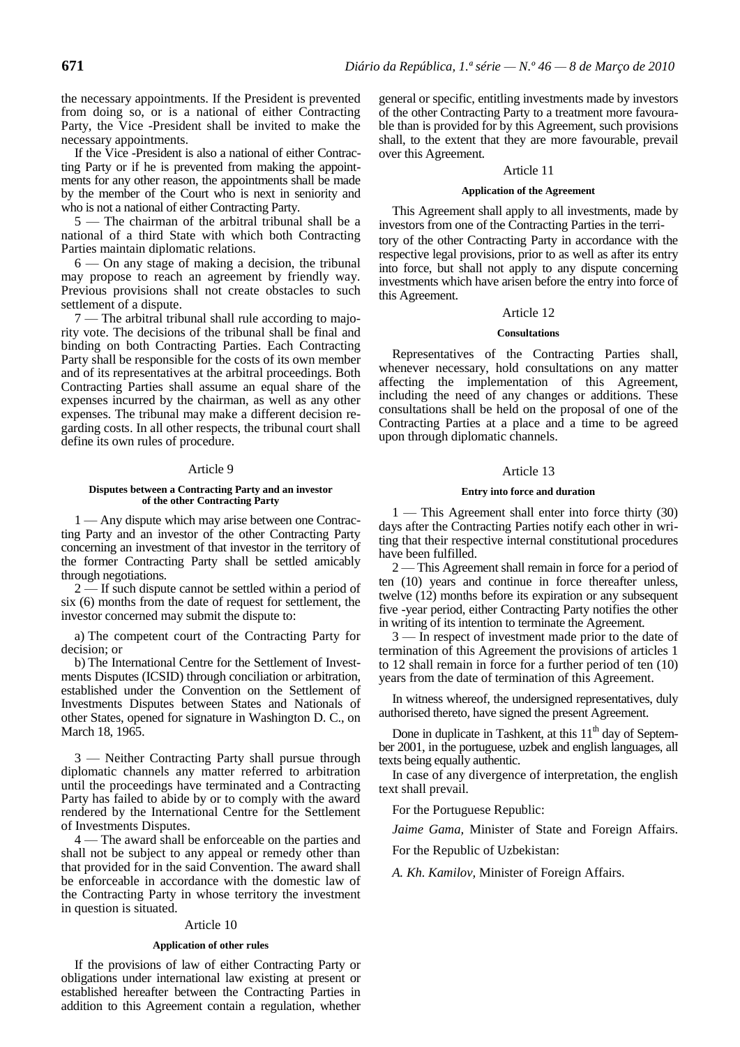the necessary appointments. If the President is prevented from doing so, or is a national of either Contracting Party, the Vice -President shall be invited to make the necessary appointments.

If the Vice -President is also a national of either Contracting Party or if he is prevented from making the appointments for any other reason, the appointments shall be made by the member of the Court who is next in seniority and who is not a national of either Contracting Party.

5 — The chairman of the arbitral tribunal shall be a national of a third State with which both Contracting Parties maintain diplomatic relations.

6 — On any stage of making a decision, the tribunal may propose to reach an agreement by friendly way. Previous provisions shall not create obstacles to such settlement of a dispute.

7 — The arbitral tribunal shall rule according to majority vote. The decisions of the tribunal shall be final and binding on both Contracting Parties. Each Contracting Party shall be responsible for the costs of its own member and of its representatives at the arbitral proceedings. Both Contracting Parties shall assume an equal share of the expenses incurred by the chairman, as well as any other expenses. The tribunal may make a different decision regarding costs. In all other respects, the tribunal court shall define its own rules of procedure.

# Article 9

### **Disputes between a Contracting Party and an investor of the other Contracting Party**

1 — Any dispute which may arise between one Contracting Party and an investor of the other Contracting Party concerning an investment of that investor in the territory of the former Contracting Party shall be settled amicably through negotiations.

2 — If such dispute cannot be settled within a period of six (6) months from the date of request for settlement, the investor concerned may submit the dispute to:

a) The competent court of the Contracting Party for decision; or

b) The International Centre for the Settlement of Investments Disputes (ICSID) through conciliation or arbitration, established under the Convention on the Settlement of Investments Disputes between States and Nationals of other States, opened for signature in Washington D. C., on March 18, 1965.

3 — Neither Contracting Party shall pursue through diplomatic channels any matter referred to arbitration until the proceedings have terminated and a Contracting Party has failed to abide by or to comply with the award rendered by the International Centre for the Settlement of Investments Disputes.

4 — The award shall be enforceable on the parties and shall not be subject to any appeal or remedy other than that provided for in the said Convention. The award shall be enforceable in accordance with the domestic law of the Contracting Party in whose territory the investment in question is situated.

# Article 10

# **Application of other rules**

If the provisions of law of either Contracting Party or obligations under international law existing at present or established hereafter between the Contracting Parties in addition to this Agreement contain a regulation, whether general or specific, entitling investments made by investors of the other Contracting Party to a treatment more favourable than is provided for by this Agreement, such provisions shall, to the extent that they are more favourable, prevail over this Agreement.

# Article 11

# **Application of the Agreement**

This Agreement shall apply to all investments, made by investors from one of the Contracting Parties in the territory of the other Contracting Party in accordance with the respective legal provisions, prior to as well as after its entry into force, but shall not apply to any dispute concerning investments which have arisen before the entry into force of this Agreement.

# Article 12

# **Consultations**

Representatives of the Contracting Parties shall, whenever necessary, hold consultations on any matter affecting the implementation of this Agreement, including the need of any changes or additions. These consultations shall be held on the proposal of one of the Contracting Parties at a place and a time to be agreed upon through diplomatic channels.

# Article 13

### **Entry into force and duration**

1 — This Agreement shall enter into force thirty (30) days after the Contracting Parties notify each other in writing that their respective internal constitutional procedures have been fulfilled.

2 — This Agreement shall remain in force for a period of ten (10) years and continue in force thereafter unless, twelve (12) months before its expiration or any subsequent five -year period, either Contracting Party notifies the other in writing of its intention to terminate the Agreement.

3 — In respect of investment made prior to the date of termination of this Agreement the provisions of articles 1 to 12 shall remain in force for a further period of ten (10) years from the date of termination of this Agreement.

In witness whereof, the undersigned representatives, duly authorised thereto, have signed the present Agreement.

Done in duplicate in Tashkent, at this  $11<sup>th</sup>$  day of September 2001, in the portuguese, uzbek and english languages, all texts being equally authentic.

In case of any divergence of interpretation, the english text shall prevail.

For the Portuguese Republic:

*Jaime Gama,* Minister of State and Foreign Affairs.

For the Republic of Uzbekistan:

*A. Kh. Kamilov,* Minister of Foreign Affairs.